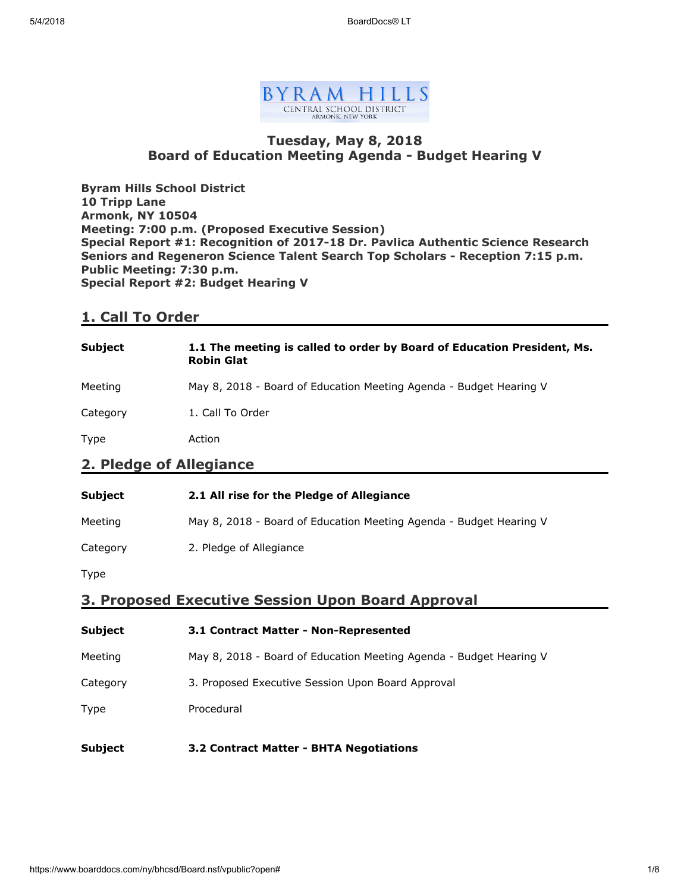

## Tuesday, May 8, 2018 Board of Education Meeting Agenda - Budget Hearing V

Byram Hills School District 10 Tripp Lane Armonk, NY 10504 Meeting: 7:00 p.m. (Proposed Executive Session) Special Report #1: Recognition of 2017-18 Dr. Pavlica Authentic Science Research Seniors and Regeneron Science Talent Search Top Scholars - Reception 7:15 p.m. Public Meeting: 7:30 p.m. Special Report #2: Budget Hearing V

## 1. Call To Order

| <b>Subject</b>          | 1.1 The meeting is called to order by Board of Education President, Ms.<br><b>Robin Glat</b> |
|-------------------------|----------------------------------------------------------------------------------------------|
| Meeting                 | May 8, 2018 - Board of Education Meeting Agenda - Budget Hearing V                           |
| Category                | 1. Call To Order                                                                             |
| Type                    | Action                                                                                       |
| 2. Pledge of Allegiance |                                                                                              |

| <b>Subject</b> | 2.1 All rise for the Pledge of Allegiance                          |
|----------------|--------------------------------------------------------------------|
| Meeting        | May 8, 2018 - Board of Education Meeting Agenda - Budget Hearing V |
| Category       | 2. Pledge of Allegiance                                            |
|                |                                                                    |

Type

## 3. Proposed Executive Session Upon Board Approval

| <b>Subject</b> | 3.1 Contract Matter - Non-Represented                              |
|----------------|--------------------------------------------------------------------|
| Meeting        | May 8, 2018 - Board of Education Meeting Agenda - Budget Hearing V |
| Category       | 3. Proposed Executive Session Upon Board Approval                  |
| Type           | Procedural                                                         |
| <b>Subject</b> | 3.2 Contract Matter - BHTA Negotiations                            |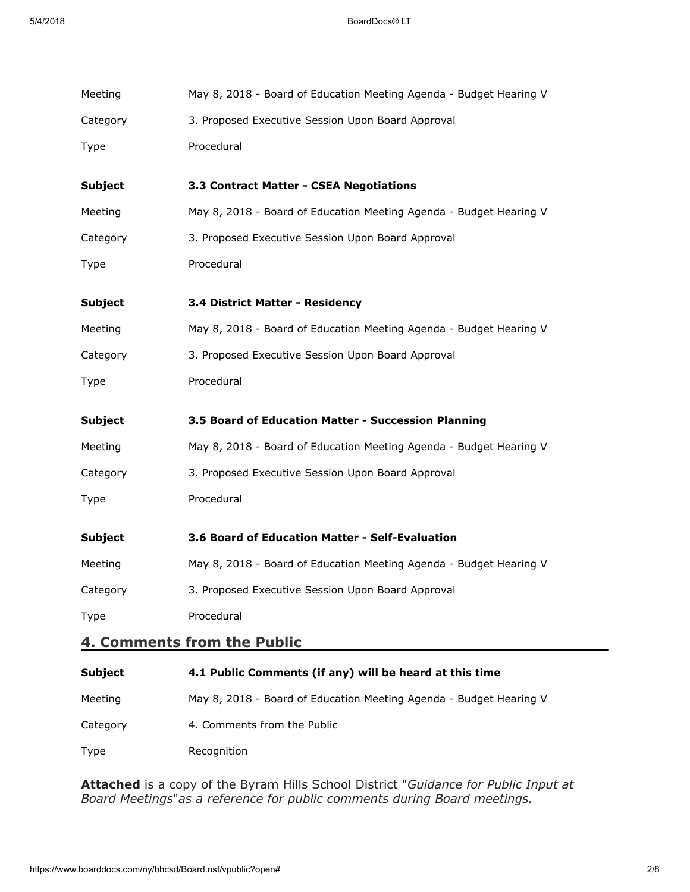| Meeting        | May 8, 2018 - Board of Education Meeting Agenda - Budget Hearing V |
|----------------|--------------------------------------------------------------------|
| Category       | 3. Proposed Executive Session Upon Board Approval                  |
| Type           | Procedural                                                         |
| <b>Subject</b> | 3.3 Contract Matter - CSEA Negotiations                            |
| Meeting        | May 8, 2018 - Board of Education Meeting Agenda - Budget Hearing V |
| Category       | 3. Proposed Executive Session Upon Board Approval                  |
| Type           | Procedural                                                         |
| <b>Subject</b> | 3.4 District Matter - Residency                                    |
| Meeting        | May 8, 2018 - Board of Education Meeting Agenda - Budget Hearing V |
| Category       | 3. Proposed Executive Session Upon Board Approval                  |
| Type           | Procedural                                                         |
| <b>Subject</b> | 3.5 Board of Education Matter - Succession Planning                |
| Meeting        | May 8, 2018 - Board of Education Meeting Agenda - Budget Hearing V |
| Category       | 3. Proposed Executive Session Upon Board Approval                  |
| <b>Type</b>    | Procedural                                                         |
| <b>Subject</b> | 3.6 Board of Education Matter - Self-Evaluation                    |
| Meeting        | May 8, 2018 - Board of Education Meeting Agenda - Budget Hearing V |
| Category       | 3. Proposed Executive Session Upon Board Approval                  |
| Type           | Procedural                                                         |
|                | 4. Comments from the Public                                        |
| Subject        | 4.1 Public Comments (if any) will be heard at this time            |

| <b>PUPICE</b> | THE LADING COMMICING THE QUITE THE DC HOGHA AT THIS THING          |
|---------------|--------------------------------------------------------------------|
| Meeting       | May 8, 2018 - Board of Education Meeting Agenda - Budget Hearing V |
| Category      | 4. Comments from the Public                                        |
| Type          | Recognition                                                        |

Attached is a copy of the Byram Hills School District "Guidance for Public Input at Board Meetings"as a reference for public comments during Board meetings.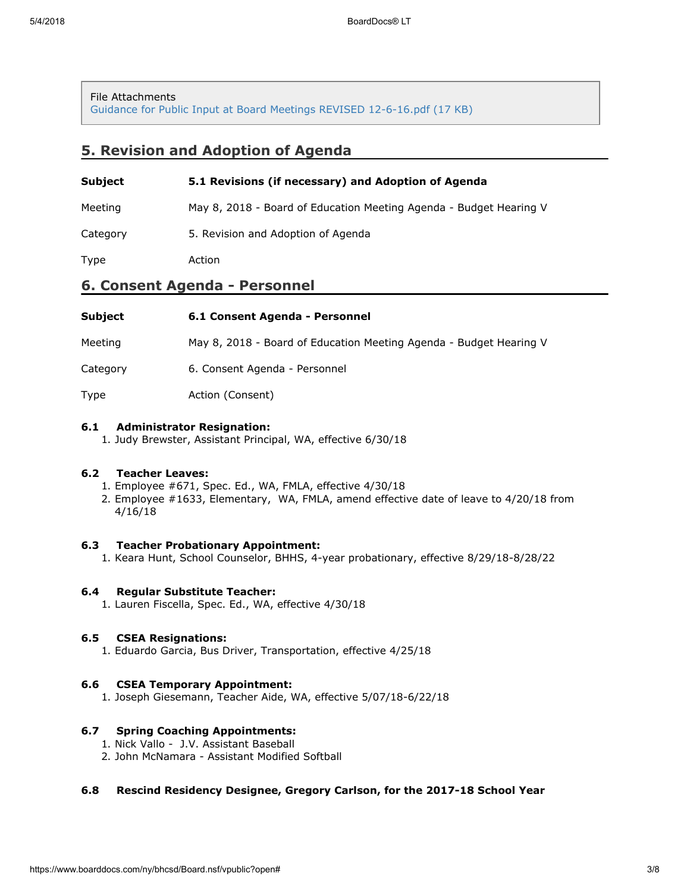#### File Attachments

[Guidance for Public Input at Board Meetings REVISED 12-6-16.pdf \(17 KB\)](https://www.boarddocs.com/ny/bhcsd/Board.nsf/files/AY4J3Y4B25BE/$file/Guidance%20for%20Public%20Input%20at%20Board%20Meetings%20REVISED%2012-6-16.pdf)

## 5. Revision and Adoption of Agenda

| Subject                       | 5.1 Revisions (if necessary) and Adoption of Agenda                |  |
|-------------------------------|--------------------------------------------------------------------|--|
| Meeting                       | May 8, 2018 - Board of Education Meeting Agenda - Budget Hearing V |  |
| Category                      | 5. Revision and Adoption of Agenda                                 |  |
| Type                          | Action                                                             |  |
| 6. Consent Agenda - Personnel |                                                                    |  |
| <b>Subject</b>                | 6.1 Consent Agenda - Personnel                                     |  |

Meeting May 8, 2018 - Board of Education Meeting Agenda - Budget Hearing V

Category 6. Consent Agenda - Personnel

Type **Action** (Consent)

#### 6.1 Administrator Resignation:

1. Judy Brewster, Assistant Principal, WA, effective 6/30/18

### 6.2 Teacher Leaves:

- 1. Employee #671, Spec. Ed., WA, FMLA, effective 4/30/18
- 2. Employee #1633, Elementary, WA, FMLA, amend effective date of leave to 4/20/18 from 4/16/18

### 6.3 Teacher Probationary Appointment:

1. Keara Hunt, School Counselor, BHHS, 4-year probationary, effective 8/29/18-8/28/22

### 6.4 Regular Substitute Teacher:

1. Lauren Fiscella, Spec. Ed., WA, effective 4/30/18

## 6.5 CSEA Resignations:

1. Eduardo Garcia, Bus Driver, Transportation, effective 4/25/18

### 6.6 CSEA Temporary Appointment:

1. Joseph Giesemann, Teacher Aide, WA, effective 5/07/18-6/22/18

### 6.7 Spring Coaching Appointments:

- 1. Nick Vallo J.V. Assistant Baseball
- 2. John McNamara Assistant Modified Softball

### 6.8 Rescind Residency Designee, Gregory Carlson, for the 2017-18 School Year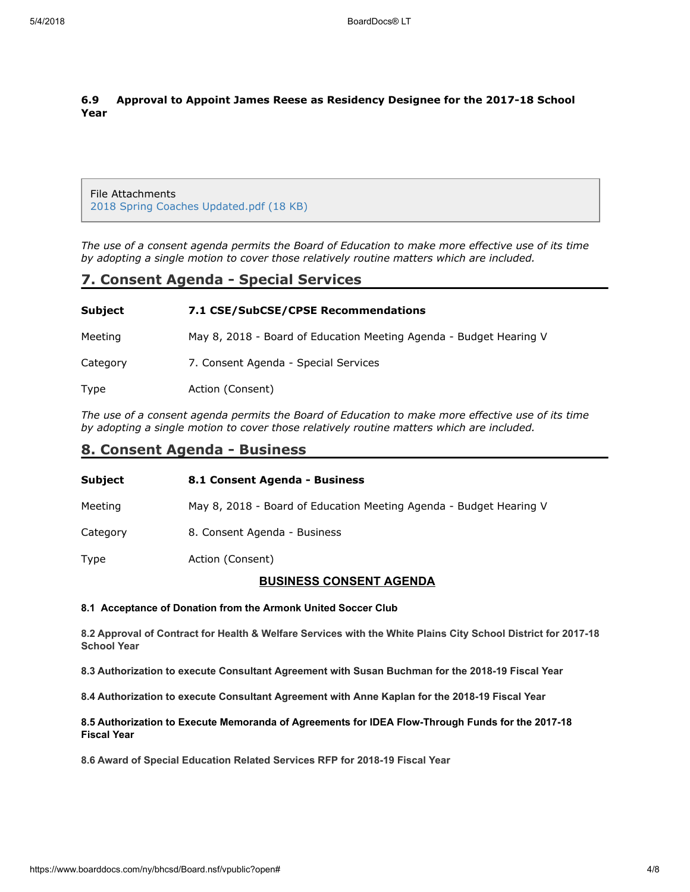## 6.9 Approval to Appoint James Reese as Residency Designee for the 2017-18 School Year

File Attachments [2018 Spring Coaches Updated.pdf \(18 KB\)](https://www.boarddocs.com/ny/bhcsd/Board.nsf/files/AYELLE5301FD/$file/2018%20Spring%20Coaches%20Updated.pdf)

The use of a consent agenda permits the Board of Education to make more effective use of its time by adopting a single motion to cover those relatively routine matters which are included.

## 7. Consent Agenda - Special Services

| Subject  | 7.1 CSE/SubCSE/CPSE Recommendations                                |
|----------|--------------------------------------------------------------------|
| Meeting  | May 8, 2018 - Board of Education Meeting Agenda - Budget Hearing V |
| Category | 7. Consent Agenda - Special Services                               |
| Type     | Action (Consent)                                                   |

The use of a consent agenda permits the Board of Education to make more effective use of its time by adopting a single motion to cover those relatively routine matters which are included.

## 8. Consent Agenda - Business

| <b>Subject</b> | 8.1 Consent Agenda - Business                                      |
|----------------|--------------------------------------------------------------------|
| Meeting        | May 8, 2018 - Board of Education Meeting Agenda - Budget Hearing V |
| Category       | 8. Consent Agenda - Business                                       |
| Type           | Action (Consent)                                                   |

### BUSINESS CONSENT AGENDA

#### 8.1 Acceptance of Donation from the Armonk United Soccer Club

8.2 Approval of Contract for Health & Welfare Services with the White Plains City School District for 2017-18 School Year

8.3 Authorization to execute Consultant Agreement with Susan Buchman for the 2018-19 Fiscal Year

8.4 Authorization to execute Consultant Agreement with Anne Kaplan for the 2018-19 Fiscal Year

#### 8.5 Authorization to Execute Memoranda of Agreements for IDEA Flow-Through Funds for the 2017-18 Fiscal Year

8.6 Award of Special Education Related Services RFP for 2018-19 Fiscal Year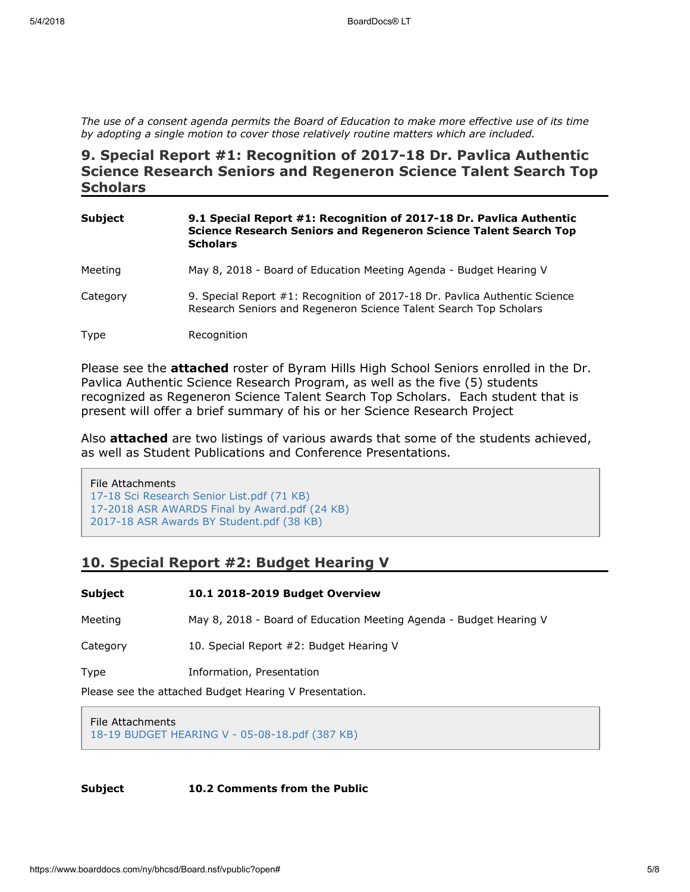The use of a consent agenda permits the Board of Education to make more effective use of its time by adopting a single motion to cover those relatively routine matters which are included.

## 9. Special Report #1: Recognition of 2017-18 Dr. Pavlica Authentic Science Research Seniors and Regeneron Science Talent Search Top **Scholars**

| <b>Subject</b> | 9.1 Special Report #1: Recognition of 2017-18 Dr. Pavlica Authentic<br>Science Research Seniors and Regeneron Science Talent Search Top<br><b>Scholars</b> |
|----------------|------------------------------------------------------------------------------------------------------------------------------------------------------------|
| Meeting        | May 8, 2018 - Board of Education Meeting Agenda - Budget Hearing V                                                                                         |
| Category       | 9. Special Report #1: Recognition of 2017-18 Dr. Pavlica Authentic Science<br>Research Seniors and Regeneron Science Talent Search Top Scholars            |
| Type           | Recognition                                                                                                                                                |

Please see the **attached** roster of Byram Hills High School Seniors enrolled in the Dr. Pavlica Authentic Science Research Program, as well as the five (5) students recognized as Regeneron Science Talent Search Top Scholars. Each student that is present will offer a brief summary of his or her Science Research Project

Also attached are two listings of various awards that some of the students achieved, as well as Student Publications and Conference Presentations.

File Attachments [17-18 Sci Research Senior List.pdf \(71 KB\)](https://www.boarddocs.com/ny/bhcsd/Board.nsf/files/AYCSBE6E7AEB/$file/17-18%20Sci%20Research%20Senior%20List.pdf) [17-2018 ASR AWARDS Final by Award.pdf \(24 KB\)](https://www.boarddocs.com/ny/bhcsd/Board.nsf/files/AY4JF54BB7EF/$file/17-2018%20ASR%20AWARDS%20Final%20by%20Award.pdf) [2017-18 ASR Awards BY Student.pdf \(38 KB\)](https://www.boarddocs.com/ny/bhcsd/Board.nsf/files/AY4JGL4C1BFE/$file/2017-18%20ASR%20Awards%20BY%20Student.pdf)

## 10. Special Report #2: Budget Hearing V

| Subject                                                | 10.1 2018-2019 Budget Overview                                     |
|--------------------------------------------------------|--------------------------------------------------------------------|
| Meeting                                                | May 8, 2018 - Board of Education Meeting Agenda - Budget Hearing V |
| Category                                               | 10. Special Report #2: Budget Hearing V                            |
| Type                                                   | Information, Presentation                                          |
| Please see the attached Budget Hearing V Presentation. |                                                                    |

File Attachments [18-19 BUDGET HEARING V - 05-08-18.pdf \(387 KB\)](https://www.boarddocs.com/ny/bhcsd/Board.nsf/files/AYCPRG65DDAC/$file/18-19%20BUDGET%20HEARING%20V%20-%2005-08-18.pdf)

Subject 10.2 Comments from the Public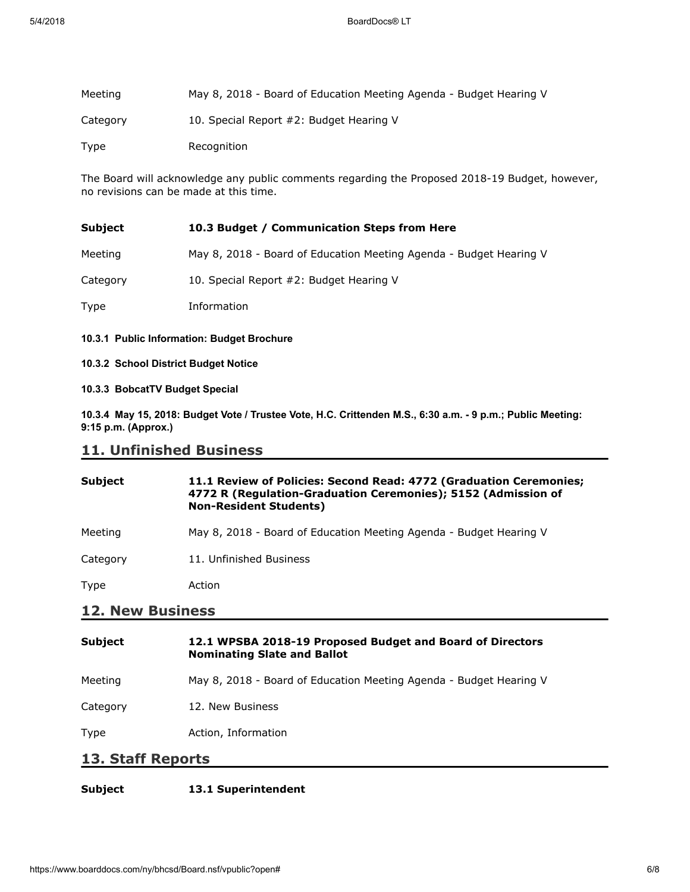| Meeting  | May 8, 2018 - Board of Education Meeting Agenda - Budget Hearing V |
|----------|--------------------------------------------------------------------|
| Category | 10. Special Report #2: Budget Hearing V                            |
| Type     | Recognition                                                        |

The Board will acknowledge any public comments regarding the Proposed 2018-19 Budget, however, no revisions can be made at this time.

| Subject  | 10.3 Budget / Communication Steps from Here                        |
|----------|--------------------------------------------------------------------|
| Meeting  | May 8, 2018 - Board of Education Meeting Agenda - Budget Hearing V |
| Category | 10. Special Report #2: Budget Hearing V                            |
| Type     | Information                                                        |

- 10.3.1 Public Information: Budget Brochure
- 10.3.2 School District Budget Notice
- 10.3.3 BobcatTV Budget Special

10.3.4 May 15, 2018: Budget Vote / Trustee Vote, H.C. Crittenden M.S., 6:30 a.m. - 9 p.m.; Public Meeting: 9:15 p.m. (Approx.)

## 11. Unfinished Business

| <b>Subject</b>          | 11.1 Review of Policies: Second Read: 4772 (Graduation Ceremonies;<br>4772 R (Regulation-Graduation Ceremonies); 5152 (Admission of<br><b>Non-Resident Students)</b> |  |
|-------------------------|----------------------------------------------------------------------------------------------------------------------------------------------------------------------|--|
| Meeting                 | May 8, 2018 - Board of Education Meeting Agenda - Budget Hearing V                                                                                                   |  |
| Category                | 11. Unfinished Business                                                                                                                                              |  |
| Type                    | Action                                                                                                                                                               |  |
| <b>12. New Business</b> |                                                                                                                                                                      |  |
| <b>Subject</b>          | 12.1 WPSBA 2018-19 Proposed Budget and Board of Directors<br><b>Nominating Slate and Ballot</b>                                                                      |  |
| Meeting                 | May 8, 2018 - Board of Education Meeting Agenda - Budget Hearing V                                                                                                   |  |
| Category                | 12. New Business                                                                                                                                                     |  |

Type **Action**, Information

## 13. Staff Reports

### Subject 13.1 Superintendent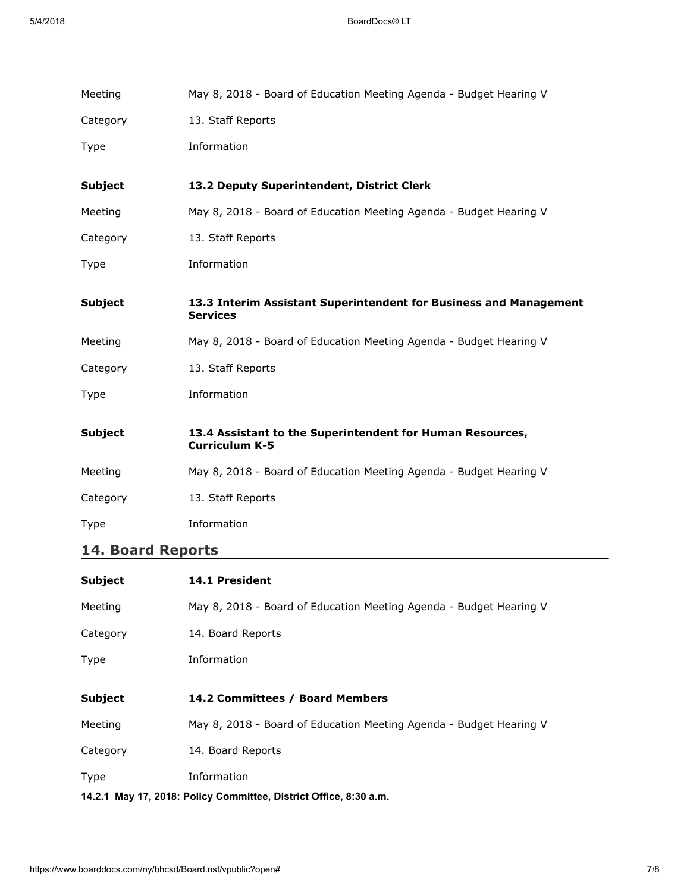| Meeting        | May 8, 2018 - Board of Education Meeting Agenda - Budget Hearing V                 |
|----------------|------------------------------------------------------------------------------------|
| Category       | 13. Staff Reports                                                                  |
| Type           | Information                                                                        |
|                |                                                                                    |
| <b>Subject</b> | 13.2 Deputy Superintendent, District Clerk                                         |
| Meeting        | May 8, 2018 - Board of Education Meeting Agenda - Budget Hearing V                 |
| Category       | 13. Staff Reports                                                                  |
| <b>Type</b>    | Information                                                                        |
| <b>Subject</b> | 13.3 Interim Assistant Superintendent for Business and Management                  |
|                | <b>Services</b>                                                                    |
| Meeting        | May 8, 2018 - Board of Education Meeting Agenda - Budget Hearing V                 |
| Category       | 13. Staff Reports                                                                  |
| Type           | Information                                                                        |
|                |                                                                                    |
| <b>Subject</b> | 13.4 Assistant to the Superintendent for Human Resources,<br><b>Curriculum K-5</b> |
| Meeting        | May 8, 2018 - Board of Education Meeting Agenda - Budget Hearing V                 |
| Category       | 13. Staff Reports                                                                  |

# 14. Board Reports

| Subject                                                           | <b>14.1 President</b>                                              |  |
|-------------------------------------------------------------------|--------------------------------------------------------------------|--|
| Meeting                                                           | May 8, 2018 - Board of Education Meeting Agenda - Budget Hearing V |  |
| Category                                                          | 14. Board Reports                                                  |  |
| Type                                                              | Information                                                        |  |
|                                                                   |                                                                    |  |
| Subject                                                           | 14.2 Committees / Board Members                                    |  |
| Meeting                                                           | May 8, 2018 - Board of Education Meeting Agenda - Budget Hearing V |  |
| Category                                                          | 14. Board Reports                                                  |  |
| Type                                                              | Information                                                        |  |
| 14.2.1 May 17, 2018: Policy Committee, District Office, 8:30 a.m. |                                                                    |  |